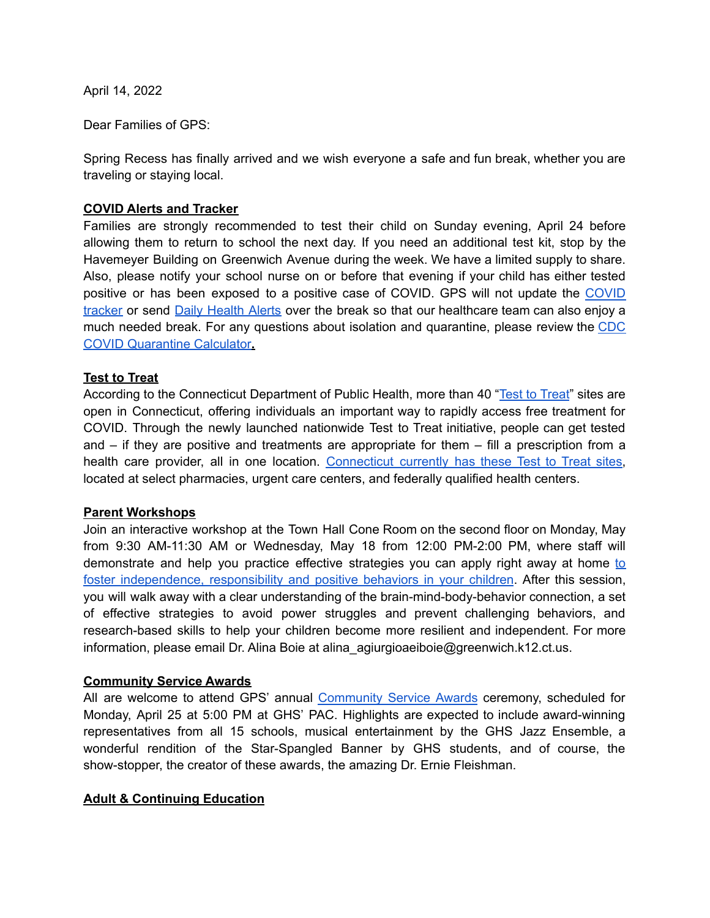April 14, 2022

Dear Families of GPS:

Spring Recess has finally arrived and we wish everyone a safe and fun break, whether you are traveling or staying local.

### **COVID Alerts and Tracker**

Families are strongly recommended to test their child on Sunday evening, April 24 before allowing them to return to school the next day. If you need an additional test kit, stop by the Havemeyer Building on Greenwich Avenue during the week. We have a limited supply to share. Also, please notify your school nurse on or before that evening if your child has either tested positive or has been exposed to a positive case of COVID. GPS will not update the [COVID](https://www.greenwichschools.org/teaching-learning/special-education/student-support-services/health-services/covid-19/covid-19-tracker-2021-2022-school-year) [tracker](https://www.greenwichschools.org/teaching-learning/special-education/student-support-services/health-services/covid-19/covid-19-tracker-2021-2022-school-year) or send Daily [Health](https://www.smore.com/py0hc) Alerts over the break so that our healthcare team can also enjoy a much needed break. For any questions about isolation and quarantine, please review the [CDC](https://www.cdc.gov/coronavirus/2019-ncov/your-health/quarantine-isolation.html) COVID [Quarantine](https://www.cdc.gov/coronavirus/2019-ncov/your-health/quarantine-isolation.html) Calculator**.**

### **Test to Treat**

According to the Connecticut Department of Public Health, more than 40 "Test to [Treat](https://portal.ct.gov/DPH/Press-Room/Press-Releases---2022/Test-to-Treat)" sites are open in Connecticut, offering individuals an important way to rapidly access free treatment for COVID. Through the newly launched nationwide Test to Treat initiative, people can get tested and – if they are positive and treatments are appropriate for them – fill a prescription from a health care provider, all in one location. [Connecticut](https://aspr.hhs.gov/TestToTreat/Pages/default.aspx) currently has these Test to Treat sites, located at select pharmacies, urgent care centers, and federally qualified health centers.

#### **Parent Workshops**

Join an interactive workshop at the Town Hall Cone Room on the second floor on Monday, May from 9:30 AM-11:30 AM or Wednesday, May 18 from 12:00 PM-2:00 PM, where staff will demonstrate and help you practice effective strategies you can apply right away at home [to](https://www.greenwichschools.org/teaching-learning/social-emotional-learning-events) foster [independence,](https://www.greenwichschools.org/teaching-learning/social-emotional-learning-events) responsibility and positive behaviors in your children. After this session, you will walk away with a clear understanding of the brain-mind-body-behavior connection, a set of effective strategies to avoid power struggles and prevent challenging behaviors, and research-based skills to help your children become more resilient and independent. For more information, please email Dr. Alina Boie at alina agiurgioaeiboie@greenwich.k12.ct.us.

#### **Community Service Awards**

All are welcome to attend GPS' annual [Community](https://www.greenwichschools.org/departments/communications/awardsrecognition-programs/community-service-awards) Service Awards ceremony, scheduled for Monday, April 25 at 5:00 PM at GHS' PAC. Highlights are expected to include award-winning representatives from all 15 schools, musical entertainment by the GHS Jazz Ensemble, a wonderful rendition of the Star-Spangled Banner by GHS students, and of course, the show-stopper, the creator of these awards, the amazing Dr. Ernie Fleishman.

# **Adult & Continuing Education**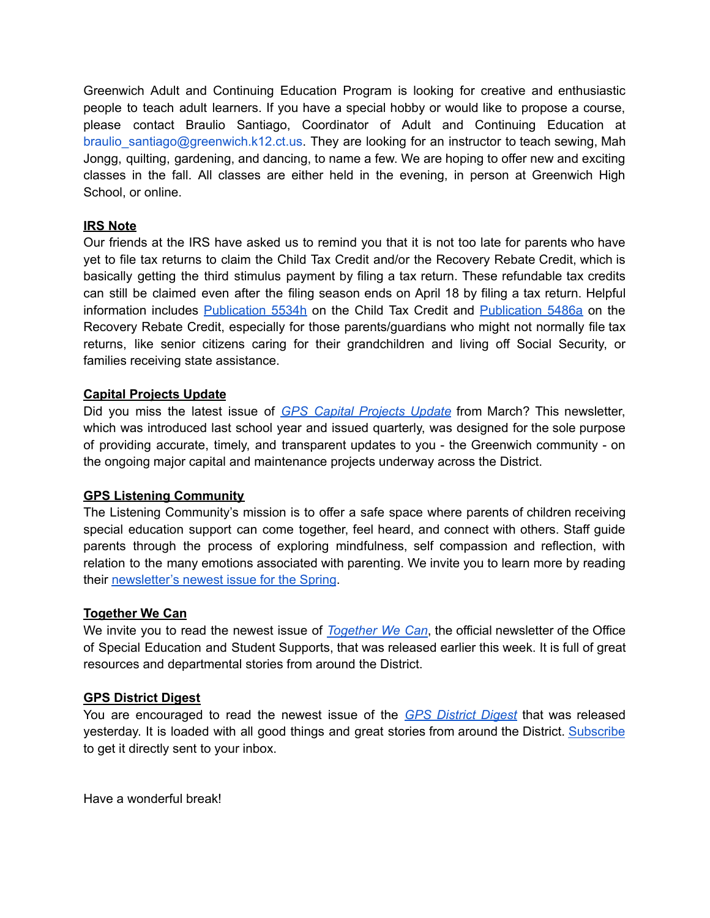Greenwich Adult and Continuing Education Program is looking for creative and enthusiastic people to teach adult learners. If you have a special hobby or would like to propose a course, please contact Braulio Santiago, Coordinator of Adult and Continuing Education at braulio santiago@greenwich.k12.ct.us. They are looking for an instructor to teach sewing, Mah Jongg, quilting, gardening, and dancing, to name a few. We are hoping to offer new and exciting classes in the fall. All classes are either held in the evening, in person at Greenwich High School, or online.

# **IRS Note**

Our friends at the IRS have asked us to remind you that it is not too late for parents who have yet to file tax returns to claim the Child Tax Credit and/or the Recovery Rebate Credit, which is basically getting the third stimulus payment by filing a tax return. These refundable tax credits can still be claimed even after the filing season ends on April 18 by filing a tax return. Helpful information includes [Publication](https://www.irs.gov/pub/irs-pdf/p5534h.pdf) 5534h on the Child Tax Credit and [Publication](https://www.irs.gov/pub/irs-pdf/p5486a.pdf) 5486a on the Recovery Rebate Credit, especially for those parents/guardians who might not normally file tax returns, like senior citizens caring for their grandchildren and living off Social Security, or families receiving state assistance.

# **Capital Projects Update**

Did you miss the latest issue of *GPS Capital [Projects](https://www.smore.com/836ep) Update* from March? This newsletter, which was introduced last school year and issued quarterly, was designed for the sole purpose of providing accurate, timely, and transparent updates to you - the Greenwich community - on the ongoing major capital and maintenance projects underway across the District.

# **GPS Listening Community**

The Listening Community's mission is to offer a safe space where parents of children receiving special education support can come together, feel heard, and connect with others. Staff guide parents through the process of exploring mindfulness, self compassion and reflection, with relation to the many emotions associated with parenting. We invite you to learn more by reading their [newsletter's](https://www.smore.com/mugkc) newest issue for the Spring.

# **Together We Can**

We invite you to read the newest issue of *[Together](https://www.smore.com/kq2wt) We Can*, the official newsletter of the Office of Special Education and Student Supports, that was released earlier this week. It is full of great resources and departmental stories from around the District.

# **GPS District Digest**

You are encouraged to read the newest issue of the *GPS [District](https://www.smore.com/tp10f) Digest* that was released yesterday. It is loaded with all good things and great stories from around the District. [Subscribe](https://www.greenwichschools.org/departments/communications/district-digest-newsletter) to get it directly sent to your inbox.

Have a wonderful break!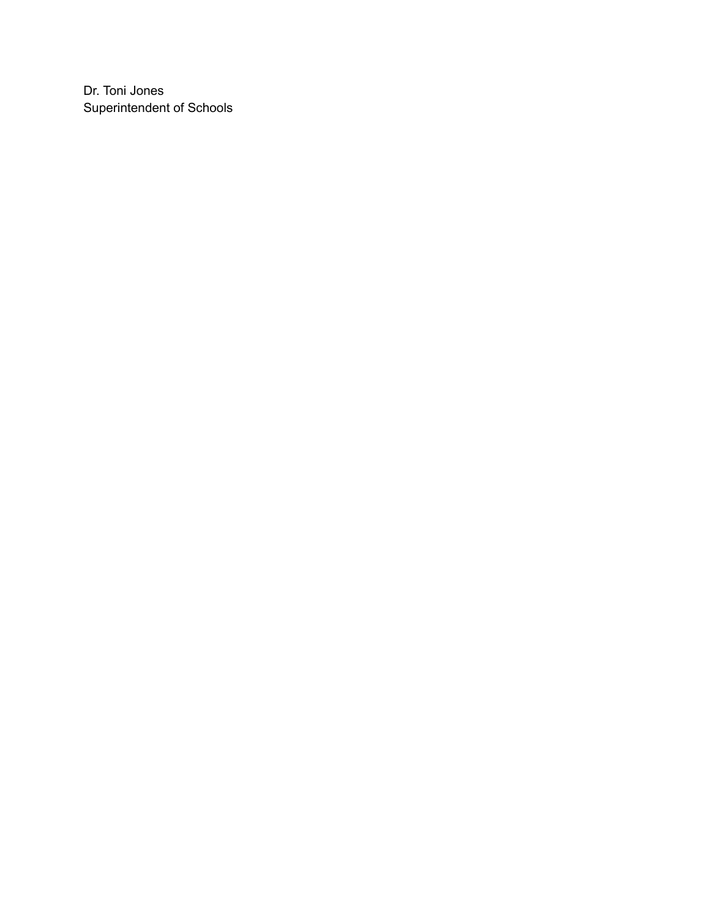Dr. Toni Jones Superintendent of Schools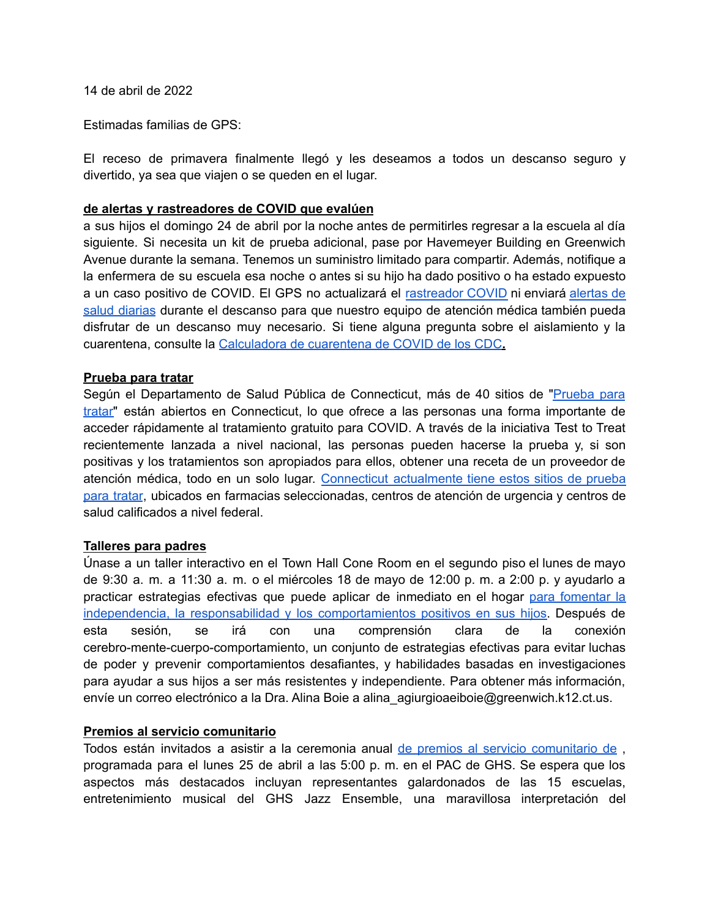14 de abril de 2022

Estimadas familias de GPS:

El receso de primavera finalmente llegó y les deseamos a todos un descanso seguro y divertido, ya sea que viajen o se queden en el lugar.

#### **de alertas y rastreadores de COVID que evalúen**

a sus hijos el domingo 24 de abril por la noche antes de permitirles regresar a la escuela al día siguiente. Si necesita un kit de prueba adicional, pase por Havemeyer Building en Greenwich Avenue durante la semana. Tenemos un suministro limitado para compartir. Además, notifique a la enfermera de su escuela esa noche o antes si su hijo ha dado positivo o ha estado expuesto a un caso positivo de COVID. El GPS no actualizará el [rastreador](https://www.greenwichschools.org/teaching-learning/special-education/student-support-services/health-services/covid-19/covid-19-tracker-2021-2022-school-year) COVID ni enviará [alertas](https://www.smore.com/py0hc) de salud [diarias](https://www.smore.com/py0hc) durante el descanso para que nuestro equipo de atención médica también pueda disfrutar de un descanso muy necesario. Si tiene alguna pregunta sobre el aislamiento y la cuarentena, consulte la [Calculadora](https://www.cdc.gov/coronavirus/2019-ncov/your-health/quarantine-isolation.html) de cuarentena de COVID de los CDC**.**

#### **Prueba para tratar**

Según el Departamento de Salud Pública de Connecticut, más de 40 sitios de ["Prueba](https://portal.ct.gov/DPH/Press-Room/Press-Releases---2022/Test-to-Treat) para [tratar"](https://portal.ct.gov/DPH/Press-Room/Press-Releases---2022/Test-to-Treat) están abiertos en Connecticut, lo que ofrece a las personas una forma importante de acceder rápidamente al tratamiento gratuito para COVID. A través de la iniciativa Test to Treat recientemente lanzada a nivel nacional, las personas pueden hacerse la prueba y, si son positivas y los tratamientos son apropiados para ellos, obtener una receta de un proveedor de atención médica, todo en un solo lugar. Connecticut [actualmente](https://aspr.hhs.gov/TestToTreat/Pages/default.aspx) tiene estos sitios de prueba para [tratar](https://aspr.hhs.gov/TestToTreat/Pages/default.aspx), ubicados en farmacias seleccionadas, centros de atención de urgencia y centros de salud calificados a nivel federal.

#### **Talleres para padres**

Únase a un taller interactivo en el Town Hall Cone Room en el segundo piso el lunes de mayo de 9:30 a. m. a 11:30 a. m. o el miércoles 18 de mayo de 12:00 p. m. a 2:00 p. y ayudarlo a practicar estrategias efectivas que puede aplicar de inmediato en el hogar para [fomentar](https://www.greenwichschools.org/teaching-learning/social-emotional-learning-events) la independencia, la responsabilidad y los [comportamientos](https://www.greenwichschools.org/teaching-learning/social-emotional-learning-events) positivos en sus hijos. Después de esta sesión, se irá con una comprensión clara de la conexión cerebro-mente-cuerpo-comportamiento, un conjunto de estrategias efectivas para evitar luchas de poder y prevenir comportamientos desafiantes, y habilidades basadas en investigaciones para ayudar a sus hijos a ser más resistentes y independiente. Para obtener más información, envíe un correo electrónico a la Dra. Alina Boie a alina\_agiurgioaeiboie@greenwich.k12.ct.us.

#### **Premios al servicio comunitario**

Todos están invitados a asistir a la ceremonia anual de premios al servicio [comunitario](https://www.greenwichschools.org/departments/communications/awardsrecognition-programs/community-service-awards) de , programada para el lunes 25 de abril a las 5:00 p. m. en el PAC de GHS. Se espera que los aspectos más destacados incluyan representantes galardonados de las 15 escuelas, entretenimiento musical del GHS Jazz Ensemble, una maravillosa interpretación del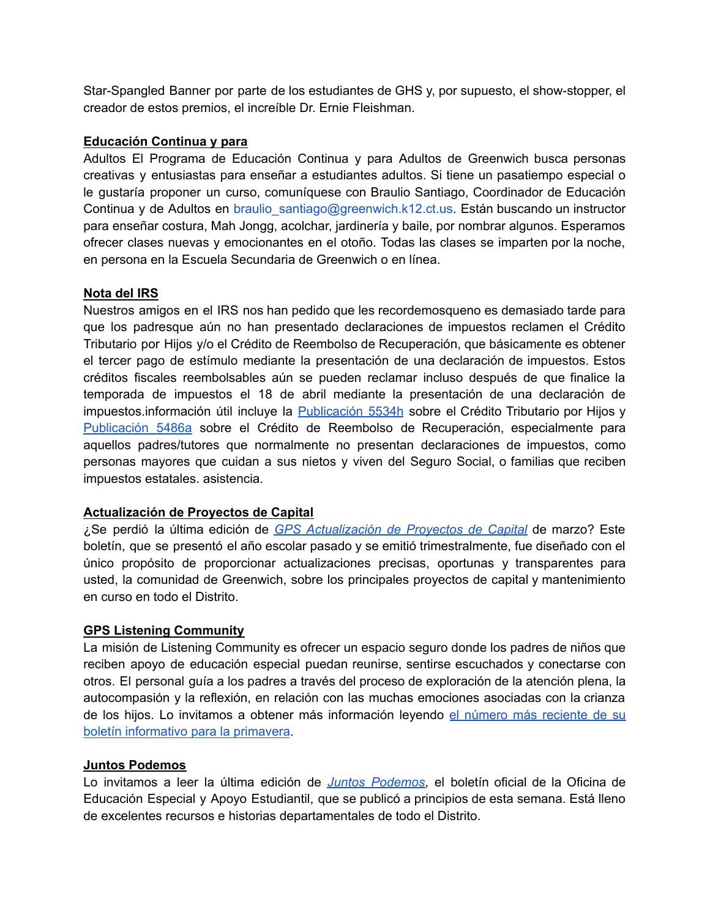Star-Spangled Banner por parte de los estudiantes de GHS y, por supuesto, el show-stopper, el creador de estos premios, el increíble Dr. Ernie Fleishman.

# **Educación Continua y para**

Adultos El Programa de Educación Continua y para Adultos de Greenwich busca personas creativas y entusiastas para enseñar a estudiantes adultos. Si tiene un pasatiempo especial o le gustaría proponer un curso, comuníquese con Braulio Santiago, Coordinador de Educación Continua y de Adultos en braulio santiago@greenwich.k12.ct.us. Están buscando un instructor para enseñar costura, Mah Jongg, acolchar, jardinería y baile, por nombrar algunos. Esperamos ofrecer clases nuevas y emocionantes en el otoño. Todas las clases se imparten por la noche, en persona en la Escuela Secundaria de Greenwich o en línea.

# **Nota del IRS**

Nuestros amigos en el IRS nos han pedido que les recordemosqueno es demasiado tarde para que los padresque aún no han presentado declaraciones de impuestos reclamen el Crédito Tributario por Hijos y/o el Crédito de Reembolso de Recuperación, que básicamente es obtener el tercer pago de estímulo mediante la presentación de una declaración de impuestos. Estos créditos fiscales reembolsables aún se pueden reclamar incluso después de que finalice la temporada de impuestos el 18 de abril mediante la presentación de una declaración de impuestos.información útil incluye la [Publicación](https://www.irs.gov/pub/irs-pdf/p5534h.pdf) 5534h sobre el Crédito Tributario por Hijos y [Publicación](https://www.irs.gov/pub/irs-pdf/p5486a.pdf) 5486a sobre el Crédito de Reembolso de Recuperación, especialmente para aquellos padres/tutores que normalmente no presentan declaraciones de impuestos, como personas mayores que cuidan a sus nietos y viven del Seguro Social, o familias que reciben impuestos estatales. asistencia.

# **Actualización de Proyectos de Capital**

¿Se perdió la última edición de *GPS [Actualización](https://www.smore.com/836ep) de Proyectos de Capital* de marzo? Este boletín, que se presentó el año escolar pasado y se emitió trimestralmente, fue diseñado con el único propósito de proporcionar actualizaciones precisas, oportunas y transparentes para usted, la comunidad de Greenwich, sobre los principales proyectos de capital y mantenimiento en curso en todo el Distrito.

# **GPS Listening Community**

La misión de Listening Community es ofrecer un espacio seguro donde los padres de niños que reciben apoyo de educación especial puedan reunirse, sentirse escuchados y conectarse con otros. El personal guía a los padres a través del proceso de exploración de la atención plena, la autocompasión y la reflexión, en relación con las muchas emociones asociadas con la crianza de los hijos. Lo invitamos a obtener más información leyendo el número más [reciente](https://www.smore.com/mugkc) de su boletín [informativo](https://www.smore.com/mugkc) para la primavera.

# **Juntos Podemos**

Lo invitamos a leer la última edición de *Juntos [Podemos](https://www.smore.com/kq2wt)*, el boletín oficial de la Oficina de Educación Especial y Apoyo Estudiantil, que se publicó a principios de esta semana. Está lleno de excelentes recursos e historias departamentales de todo el Distrito.